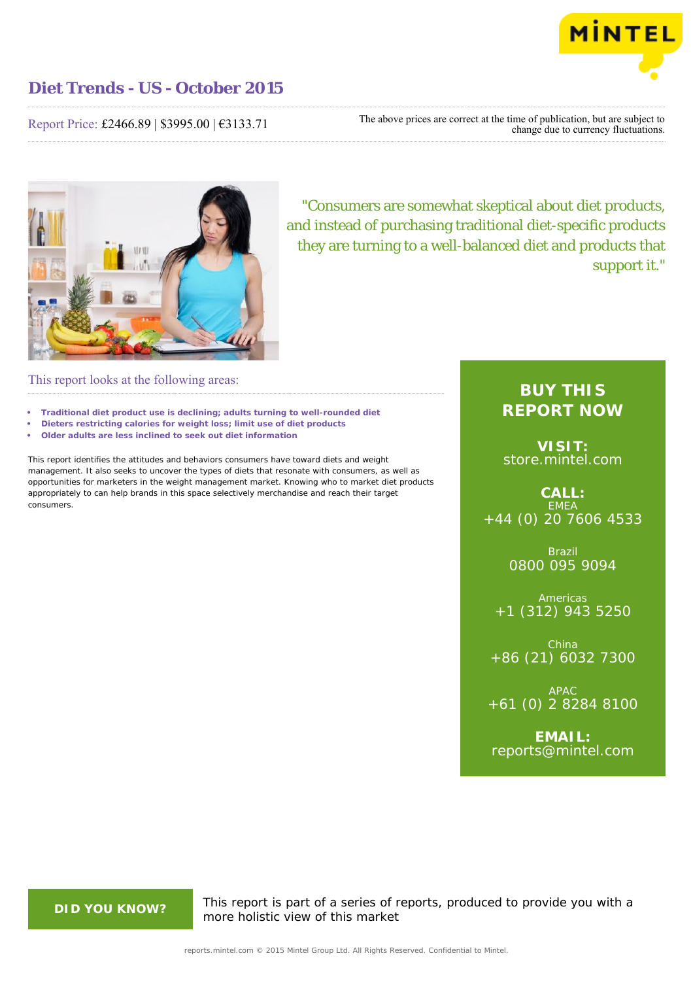

Report Price: £2466.89 | \$3995.00 | €3133.71

The above prices are correct at the time of publication, but are subject to change due to currency fluctuations.



"Consumers are somewhat skeptical about diet products, and instead of purchasing traditional diet-specific products they are turning to a well-balanced diet and products that support it."

## This report looks at the following areas:

- **• Traditional diet product use is declining; adults turning to well-rounded diet**
- **• Dieters restricting calories for weight loss; limit use of diet products**
- **• Older adults are less inclined to seek out diet information**

This report identifies the attitudes and behaviors consumers have toward diets and weight management. It also seeks to uncover the types of diets that resonate with consumers, as well as opportunities for marketers in the weight management market. Knowing who to market diet products appropriately to can help brands in this space selectively merchandise and reach their target consumers.

## **BUY THIS REPORT NOW**

**VISIT:** [store.mintel.com](http://reports.mintel.com//display/store/716830/)

**CALL:** EMEA +44 (0) 20 7606 4533

> Brazil 0800 095 9094

**Americas** +1 (312) 943 5250

China +86 (21) 6032 7300

APAC +61 (0) 2 8284 8100

**EMAIL:** [reports@mintel.com](mailto:reports@mintel.com)

**DID YOU KNOW?** This report is part of a series of reports, produced to provide you with a more holistic view of this market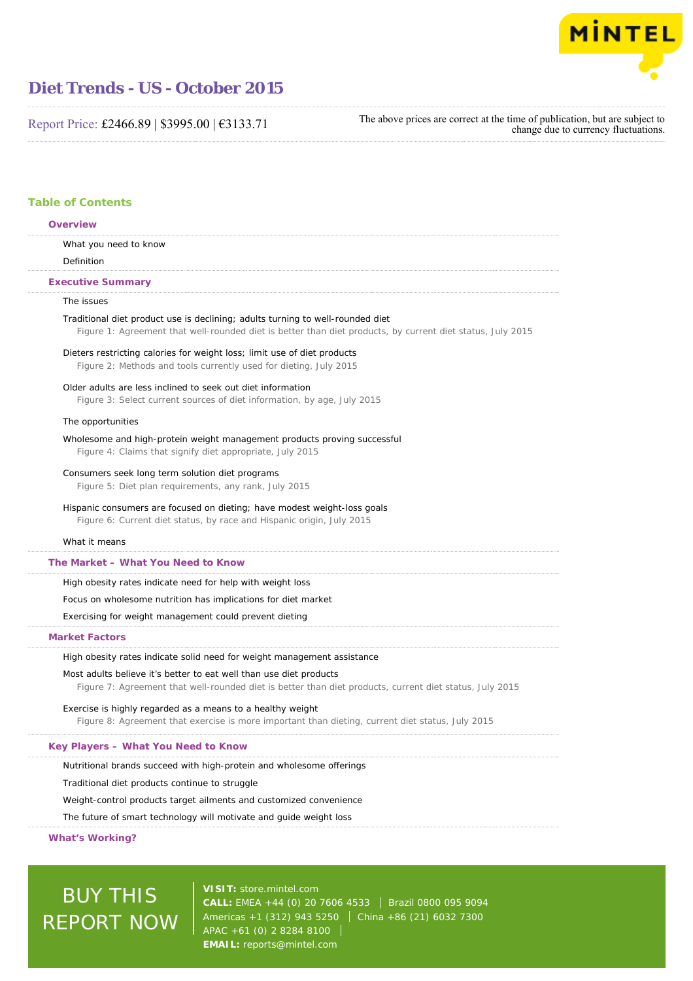

Report Price: £2466.89 | \$3995.00 | €3133.71

The above prices are correct at the time of publication, but are subject to change due to currency fluctuations.

### **Table of Contents**

| Overview                                                                                                                                                                                     |
|----------------------------------------------------------------------------------------------------------------------------------------------------------------------------------------------|
| What you need to know                                                                                                                                                                        |
| Definition                                                                                                                                                                                   |
| <b>Executive Summary</b>                                                                                                                                                                     |
| The issues                                                                                                                                                                                   |
| Traditional diet product use is declining; adults turning to well-rounded diet<br>Figure 1: Agreement that well-rounded diet is better than diet products, by current diet status, July 2015 |
| Dieters restricting calories for weight loss; limit use of diet products<br>Figure 2: Methods and tools currently used for dieting, July 2015                                                |
| Older adults are less inclined to seek out diet information<br>Figure 3: Select current sources of diet information, by age, July 2015                                                       |
| The opportunities                                                                                                                                                                            |
| Wholesome and high-protein weight management products proving successful<br>Figure 4: Claims that signify diet appropriate, July 2015                                                        |
| Consumers seek long term solution diet programs<br>Figure 5: Diet plan requirements, any rank, July 2015                                                                                     |
| Hispanic consumers are focused on dieting; have modest weight-loss goals<br>Figure 6: Current diet status, by race and Hispanic origin, July 2015                                            |
| What it means                                                                                                                                                                                |
| The Market - What You Need to Know                                                                                                                                                           |
| High obesity rates indicate need for help with weight loss                                                                                                                                   |
| Focus on wholesome nutrition has implications for diet market                                                                                                                                |
| Exercising for weight management could prevent dieting                                                                                                                                       |
| <b>Market Factors</b>                                                                                                                                                                        |
| High obesity rates indicate solid need for weight management assistance                                                                                                                      |
| Most adults believe it's better to eat well than use diet products<br>Figure 7: Agreement that well-rounded diet is better than diet products, current diet status, July 2015                |
| Exercise is highly regarded as a means to a healthy weight<br>Figure 8: Agreement that exercise is more important than dieting, current diet status, July 2015                               |
| Key Players – What You Need to Know                                                                                                                                                          |
| Nutritional brands succeed with high-protein and wholesome offerings                                                                                                                         |
| Traditional diet products continue to struggle                                                                                                                                               |
| Weight-control products target ailments and customized convenience                                                                                                                           |
| The future of concert technicians will meeting to and mulde wicefalst lead                                                                                                                   |

The future of smart technology will motivate and guide weight loss

**What's Working?**

# BUY THIS REPORT NOW

**VISIT:** [store.mintel.com](http://reports.mintel.com//display/store/716830/) **CALL:** EMEA +44 (0) 20 7606 4533 Brazil 0800 095 9094 Americas +1 (312) 943 5250 China +86 (21) 6032 7300 APAC +61 (0) 2 8284 8100 **EMAIL:** [reports@mintel.com](mailto:reports@mintel.com)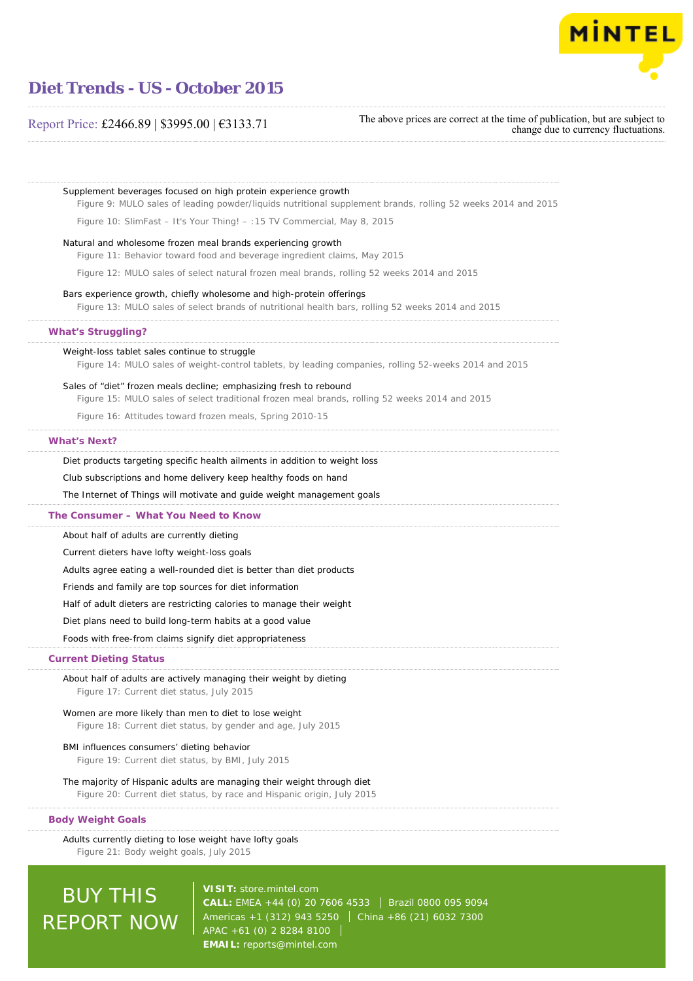

### Report Price: £2466.89 | \$3995.00 | €3133.71

REPORT NOW

The above prices are correct at the time of publication, but are subject to change due to currency fluctuations.

Supplement beverages focused on high protein experience growth Figure 9: MULO sales of leading powder/liquids nutritional supplement brands, rolling 52 weeks 2014 and 2015 Figure 10: SlimFast – It's Your Thing! – :15 TV Commercial, May 8, 2015 Natural and wholesome frozen meal brands experiencing growth Figure 11: Behavior toward food and beverage ingredient claims, May 2015 Figure 12: MULO sales of select natural frozen meal brands, rolling 52 weeks 2014 and 2015 Bars experience growth, chiefly wholesome and high-protein offerings Figure 13: MULO sales of select brands of nutritional health bars, rolling 52 weeks 2014 and 2015 Weight-loss tablet sales continue to struggle Figure 14: MULO sales of weight-control tablets, by leading companies, rolling 52-weeks 2014 and 2015 Sales of "diet" frozen meals decline; emphasizing fresh to rebound Figure 15: MULO sales of select traditional frozen meal brands, rolling 52 weeks 2014 and 2015 Figure 16: Attitudes toward frozen meals, Spring 2010-15 Diet products targeting specific health ailments in addition to weight loss Club subscriptions and home delivery keep healthy foods on hand The Internet of Things will motivate and guide weight management goals About half of adults are currently dieting Current dieters have lofty weight-loss goals Adults agree eating a well-rounded diet is better than diet products Friends and family are top sources for diet information Half of adult dieters are restricting calories to manage their weight Diet plans need to build long-term habits at a good value Foods with free-from claims signify diet appropriateness About half of adults are actively managing their weight by dieting Figure 17: Current diet status, July 2015 Women are more likely than men to diet to lose weight Figure 18: Current diet status, by gender and age, July 2015 BMI influences consumers' dieting behavior Figure 19: Current diet status, by BMI, July 2015 The majority of Hispanic adults are managing their weight through diet Figure 20: Current diet status, by race and Hispanic origin, July 2015 Adults currently dieting to lose weight have lofty goals Figure 21: Body weight goals, July 2015 **What's Struggling? What's Next? The Consumer – What You Need to Know Current Dieting Status Body Weight Goals** BUY THIS **VISIT:** [store.mintel.com](http://reports.mintel.com//display/store/716830/) CALL: EMEA +44 (0) 20 7606 4533 | Brazil 0800 095 9094

Americas +1 (312) 943 5250 | China +86 (21) 6032 7300

APAC +61 (0) 2 8284 8100 **EMAIL:** [reports@mintel.com](mailto:reports@mintel.com)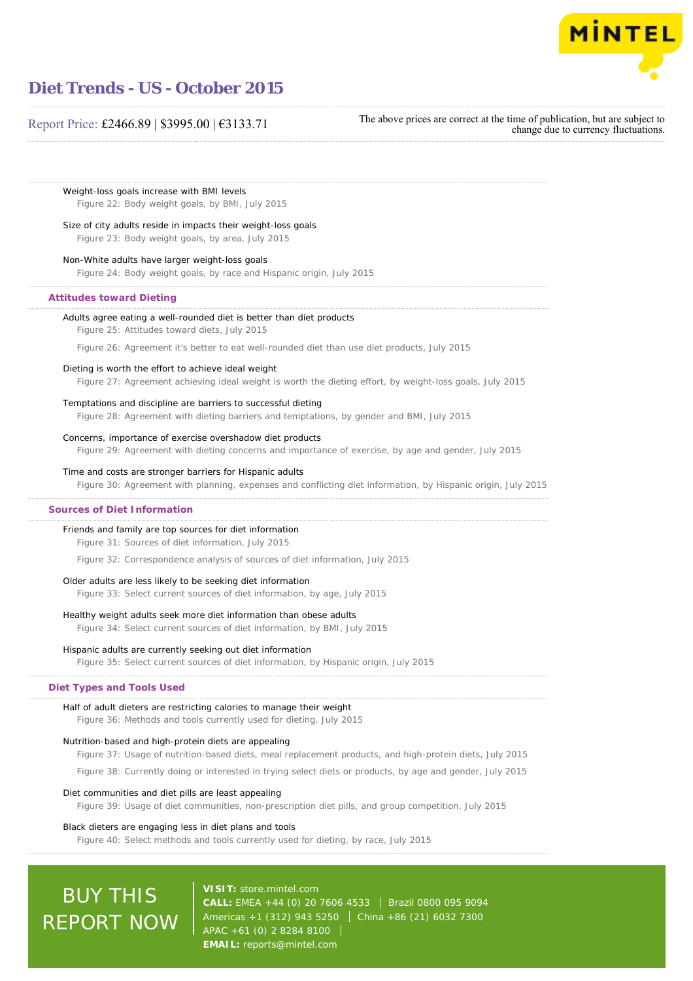

### Report Price: £2466.89 | \$3995.00 | €3133.71

The above prices are correct at the time of publication, but are subject to change due to currency fluctuations.

Weight-loss goals increase with BMI levels Figure 22: Body weight goals, by BMI, July 2015

#### Size of city adults reside in impacts their weight-loss goals

Figure 23: Body weight goals, by area, July 2015

#### Non-White adults have larger weight-loss goals

Figure 24: Body weight goals, by race and Hispanic origin, July 2015

### **Attitudes toward Dieting**

#### Adults agree eating a well-rounded diet is better than diet products

Figure 25: Attitudes toward diets, July 2015

Figure 26: Agreement it's better to eat well-rounded diet than use diet products, July 2015

#### Dieting is worth the effort to achieve ideal weight

Figure 27: Agreement achieving ideal weight is worth the dieting effort, by weight-loss goals, July 2015

#### Temptations and discipline are barriers to successful dieting

Figure 28: Agreement with dieting barriers and temptations, by gender and BMI, July 2015

#### Concerns, importance of exercise overshadow diet products

Figure 29: Agreement with dieting concerns and importance of exercise, by age and gender, July 2015

#### Time and costs are stronger barriers for Hispanic adults

Figure 30: Agreement with planning, expenses and conflicting diet information, by Hispanic origin, July 2015

#### **Sources of Diet Information**

### Friends and family are top sources for diet information

Figure 31: Sources of diet information, July 2015

Figure 32: Correspondence analysis of sources of diet information, July 2015

#### Older adults are less likely to be seeking diet information

Figure 33: Select current sources of diet information, by age, July 2015

#### Healthy weight adults seek more diet information than obese adults

Figure 34: Select current sources of diet information, by BMI, July 2015

#### Hispanic adults are currently seeking out diet information

Figure 35: Select current sources of diet information, by Hispanic origin, July 2015

#### **Diet Types and Tools Used**

#### Half of adult dieters are restricting calories to manage their weight

Figure 36: Methods and tools currently used for dieting, July 2015

#### Nutrition-based and high-protein diets are appealing

Figure 37: Usage of nutrition-based diets, meal replacement products, and high-protein diets, July 2015

Figure 38: Currently doing or interested in trying select diets or products, by age and gender, July 2015

#### Diet communities and diet pills are least appealing

Figure 39: Usage of diet communities, non-prescription diet pills, and group competition, July 2015

### Black dieters are engaging less in diet plans and tools

Figure 40: Select methods and tools currently used for dieting, by race, July 2015

# BUY THIS REPORT NOW

**VISIT:** [store.mintel.com](http://reports.mintel.com//display/store/716830/) CALL: EMEA +44 (0) 20 7606 4533 | Brazil 0800 095 9094 Americas +1 (312) 943 5250 | China +86 (21) 6032 7300 APAC +61 (0) 2 8284 8100 **EMAIL:** [reports@mintel.com](mailto:reports@mintel.com)